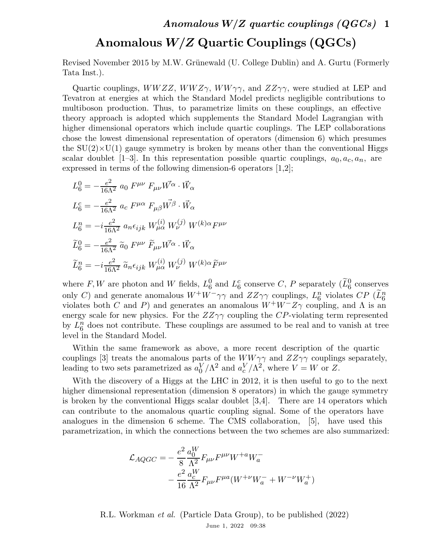## Anomalous  $W/Z$  Quartic Couplings (QGCs)

Revised November 2015 by M.W. Grünewald (U. College Dublin) and A. Gurtu (Formerly Tata Inst.).

Quartic couplings,  $WWZZ$ ,  $WWZ\gamma$ ,  $WW\gamma\gamma$ , and  $ZZ\gamma\gamma$ , were studied at LEP and Tevatron at energies at which the Standard Model predicts negligible contributions to multiboson production. Thus, to parametrize limits on these couplings, an effective theory approach is adopted which supplements the Standard Model Lagrangian with higher dimensional operators which include quartic couplings. The LEP collaborations chose the lowest dimensional representation of operators (dimension 6) which presumes the  $SU(2) \times U(1)$  gauge symmetry is broken by means other than the conventional Higgs scalar doublet [1–3]. In this representation possible quartic couplings,  $a_0, a_c, a_n$ , are expressed in terms of the following dimension-6 operators [1,2];

$$
L_6^0 = -\frac{e^2}{16\Lambda^2} a_0 F^{\mu\nu} F_{\mu\nu} W^{\alpha} \cdot \vec{W}_{\alpha}
$$
  
\n
$$
L_6^c = -\frac{e^2}{16\Lambda^2} a_c F^{\mu\alpha} F_{\mu\beta} W^{\beta} \cdot \vec{W}_{\alpha}
$$
  
\n
$$
L_6^n = -i \frac{e^2}{16\Lambda^2} a_n \epsilon_{ijk} W^{(i)}_{\mu\alpha} W^{(j)}_{\nu} W^{(k)\alpha} F^{\mu\nu}
$$
  
\n
$$
\tilde{L}_6^0 = -\frac{e^2}{16\Lambda^2} \tilde{a}_0 F^{\mu\nu} \tilde{F}_{\mu\nu} W^{\alpha} \cdot \vec{W}_{\alpha}
$$
  
\n
$$
\tilde{L}_6^n = -i \frac{e^2}{16\Lambda^2} \tilde{a}_n \epsilon_{ijk} W^{(i)}_{\mu\alpha} W^{(j)}_{\nu} W^{(k)\alpha} \tilde{F}^{\mu\nu}
$$

where  $F, W$  are photon and W fields,  $L_6^0$  $_6^0$  and  $L_6^c$  $\frac{c}{6}$  conserves C, P separately  $(\widetilde{L}^0_6$  conserves only C) and generate anomalous  $W^+W^-\gamma\gamma$  and  $ZZ\gamma\gamma$  couplings,  $L_6^n$  $\stackrel{n}{\phantom{n}}$  violates  $CP$  ( $\widetilde{L}_6^n$ violates both C and P) and generates an anomalous  $W^+W^-Z\gamma$  coupling, and  $\Lambda$  is an energy scale for new physics. For the  $ZZ\gamma\gamma$  coupling the CP-violating term represented by  $L_6^n$  $\frac{n}{6}$  does not contribute. These couplings are assumed to be real and to vanish at tree level in the Standard Model.

Within the same framework as above, a more recent description of the quartic couplings [3] treats the anomalous parts of the  $WW\gamma\gamma$  and  $ZZ\gamma\gamma$  couplings separately, leading to two sets parametrized as  $a_0^V$  $\int_0^V/\Lambda^2$  and  $a_c^V/\Lambda^2$ , where  $V = W$  or Z.

With the discovery of a Higgs at the LHC in 2012, it is then useful to go to the next higher dimensional representation (dimension 8 operators) in which the gauge symmetry is broken by the conventional Higgs scalar doublet  $[3,4]$ . There are 14 operators which can contribute to the anomalous quartic coupling signal. Some of the operators have analogues in the dimension 6 scheme. The CMS collaboration, [5], have used this parametrization, in which the connections between the two schemes are also summarized:

$$
\mathcal{L}_{AQGC} = -\frac{e^2}{8} \frac{a_0^W}{\Lambda^2} F_{\mu\nu} F^{\mu\nu} W^{+a} W^-_a
$$

$$
-\frac{e^2}{16} \frac{a_c^W}{\Lambda^2} F_{\mu\nu} F^{\mu a} (W^{+\nu} W^-_a + W^{-\nu} W^+_a)
$$

R.L. Workman et al. (Particle Data Group), to be published (2022) June 1, 2022 09:38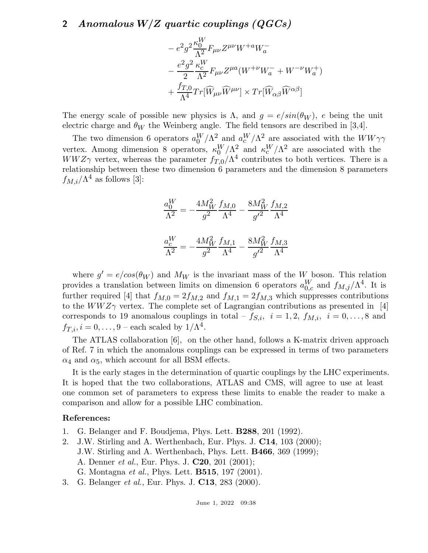## 2 Anomalous W/Z quartic couplings (QGCs)

$$
\begin{aligned} &-e^2g^2\frac{\kappa_0^W}{\Lambda^2}F_{\mu\nu}Z^{\mu\nu}W^{+a}W^-_a\\ &-\frac{e^2g^2}{2}\frac{\kappa_c^W}{\Lambda^2}F_{\mu\nu}Z^{\mu a}(W^{+\nu}W^-_a+W^{-\nu}W^+_a)\\ &+\frac{f_{T,0}}{\Lambda^4}Tr[\widehat{W}_{\mu\nu}\widehat{W}^{\mu\nu}]\times Tr[\widehat{W}_{\alpha\beta}\widehat{W}^{\alpha\beta}] \end{aligned}
$$

The energy scale of possible new physics is  $\Lambda$ , and  $g = e/sin(\theta_W)$ , e being the unit electric charge and  $\theta_W$  the Weinberg angle. The field tensors are described in [3,4].

The two dimension 6 operators  $a_0^W/\Lambda^2$  and  $a_c^W/\Lambda^2$  are associated with the  $WW\gamma\gamma$ vertex. Among dimension 8 operators,  $\kappa_0^W/\Lambda^2$  and  $\kappa_c^W/\Lambda^2$  are associated with the  $WWZ\gamma$  vertex, whereas the parameter  $f_{T,0}/\Lambda^4$  contributes to both vertices. There is a relationship between these two dimension 6 parameters and the dimension 8 parameters  $f_{M,i}/\Lambda^4$  as follows [3]:

$$
\frac{a_0^W}{\Lambda^2} = -\frac{4M_W^2}{g^2} \frac{f_{M,0}}{\Lambda^4} - \frac{8M_W^2}{g'^2} \frac{f_{M,2}}{\Lambda^4}
$$

$$
\frac{a_c^W}{\Lambda^2} = -\frac{4M_W^2}{g^2} \frac{f_{M,1}}{\Lambda^4} - \frac{8M_W^2}{g'^2} \frac{f_{M,3}}{\Lambda^4}
$$

where  $g' = e/cos(\theta_W)$  and  $M_W$  is the invariant mass of the W boson. This relation provides a translation between limits on dimension 6 operators  $a_{0,c}^W$  and  $f_{M,j}/\Lambda^4$ . It is further required [4] that  $f_{M,0} = 2f_{M,2}$  and  $f_{M,1} = 2f_{M,3}$  which suppresses contributions to the  $WWZ\gamma$  vertex. The complete set of Lagrangian contributions as presented in [4] corresponds to 19 anomalous couplings in total –  $f_{S,i}$ ,  $i = 1, 2, f_{M,i}$ ,  $i = 0, \ldots, 8$  and  $f_{T,i}, i = 0, \ldots, 9$  – each scaled by  $1/\Lambda^4$ .

The ATLAS collaboration [6], on the other hand, follows a K-matrix driven approach of Ref. 7 in which the anomalous couplings can be expressed in terms of two parameters  $\alpha_4$  and  $\alpha_5$ , which account for all BSM effects.

It is the early stages in the determination of quartic couplings by the LHC experiments. It is hoped that the two collaborations, ATLAS and CMS, will agree to use at least one common set of parameters to express these limits to enable the reader to make a comparison and allow for a possible LHC combination.

## References:

- 1. G. Belanger and F. Boudjema, Phys. Lett. B288, 201 (1992).
- 2. J.W. Stirling and A. Werthenbach, Eur. Phys. J. C14, 103 (2000); J.W. Stirling and A. Werthenbach, Phys. Lett. B466, 369 (1999); A. Denner et al., Eur. Phys. J. C20, 201 (2001); G. Montagna et al., Phys. Lett. B515, 197 (2001).
- 3. G. Belanger *et al.*, Eur. Phys. J. **C13**, 283 (2000).